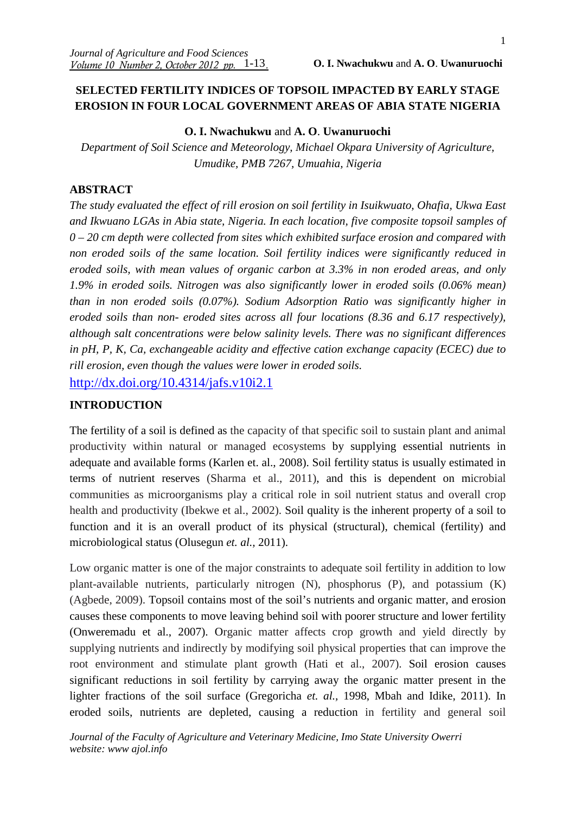# **SELECTED FERTILITY INDICES OF TOPSOIL IMPACTED BY EARLY STAGE EROSION IN FOUR LOCAL GOVERNMENT AREAS OF ABIA STATE NIGERIA**

# **O. I. Nwachukwu** and **A. O**. **Uwanuruochi**

*Department of Soil Science and Meteorology, Michael Okpara University of Agriculture, Umudike, PMB 7267, Umuahia, Nigeria* 

# **ABSTRACT**

*The study evaluated the effect of rill erosion on soil fertility in Isuikwuato, Ohafia, Ukwa East and Ikwuano LGAs in Abia state, Nigeria. In each location, five composite topsoil samples of 0 – 20 cm depth were collected from sites which exhibited surface erosion and compared with non eroded soils of the same location. Soil fertility indices were significantly reduced in eroded soils, with mean values of organic carbon at 3.3% in non eroded areas, and only 1.9% in eroded soils. Nitrogen was also significantly lower in eroded soils (0.06% mean) than in non eroded soils (0.07%). Sodium Adsorption Ratio was significantly higher in eroded soils than non- eroded sites across all four locations (8.36 and 6.17 respectively), although salt concentrations were below salinity levels. There was no significant differences in pH, P, K, Ca, exchangeable acidity and effective cation exchange capacity (ECEC) due to rill erosion, even though the values were lower in eroded soils.* 

http://dx.doi.org/10.4314/jafs.v10i2.1

# **INTRODUCTION**

The fertility of a soil is defined as the capacity of that specific soil to sustain plant and animal productivity within natural or managed ecosystems by supplying essential nutrients in adequate and available forms (Karlen et. al., 2008). Soil fertility status is usually estimated in terms of nutrient reserves (Sharma et al., 2011), and this is dependent on microbial communities as microorganisms play a critical role in soil nutrient status and overall crop health and productivity (Ibekwe et al., 2002). Soil quality is the inherent property of a soil to function and it is an overall product of its physical (structural), chemical (fertility) and microbiological status (Olusegun *et. al.,* 2011).

Low organic matter is one of the major constraints to adequate soil fertility in addition to low plant-available nutrients, particularly nitrogen (N), phosphorus (P), and potassium (K) (Agbede, 2009). Topsoil contains most of the soil's nutrients and organic matter, and erosion causes these components to move leaving behind soil with poorer structure and lower fertility (Onweremadu et al., 2007). Organic matter affects crop growth and yield directly by supplying nutrients and indirectly by modifying soil physical properties that can improve the root environment and stimulate plant growth (Hati et al., 2007). Soil erosion causes significant reductions in soil fertility by carrying away the organic matter present in the lighter fractions of the soil surface (Gregoricha *et. al.,* 1998, Mbah and Idike, 2011). In eroded soils, nutrients are depleted, causing a reduction in fertility and general soil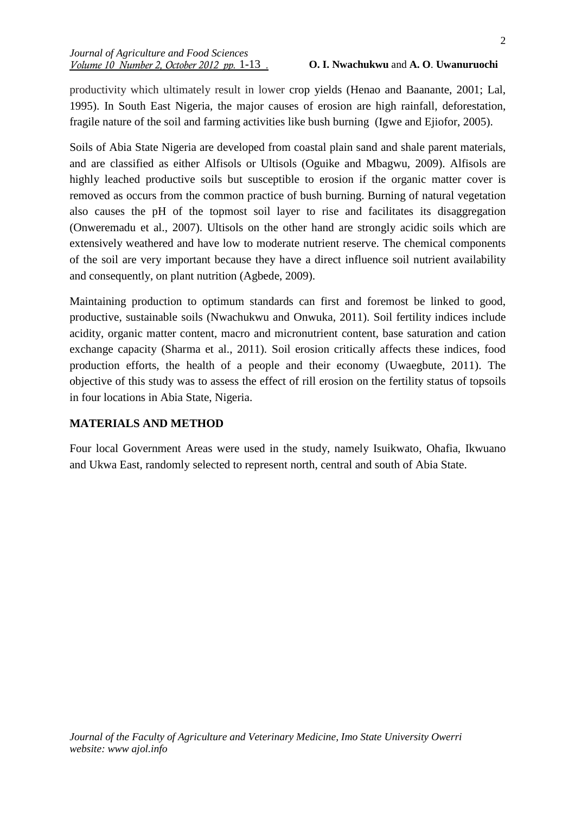productivity which ultimately result in lower crop yields (Henao and Baanante, 2001; Lal, 1995). In South East Nigeria, the major causes of erosion are high rainfall, deforestation, fragile nature of the soil and farming activities like bush burning (Igwe and Ejiofor, 2005).

Soils of Abia State Nigeria are developed from coastal plain sand and shale parent materials, and are classified as either Alfisols or Ultisols (Oguike and Mbagwu, 2009). Alfisols are highly leached productive soils but susceptible to erosion if the organic matter cover is removed as occurs from the common practice of bush burning. Burning of natural vegetation also causes the pH of the topmost soil layer to rise and facilitates its disaggregation (Onweremadu et al., 2007). Ultisols on the other hand are strongly acidic soils which are extensively weathered and have low to moderate nutrient reserve. The chemical components of the soil are very important because they have a direct influence soil nutrient availability and consequently, on plant nutrition (Agbede, 2009).

Maintaining production to optimum standards can first and foremost be linked to good, productive, sustainable soils (Nwachukwu and Onwuka, 2011). Soil fertility indices include acidity, organic matter content, macro and micronutrient content, base saturation and cation exchange capacity (Sharma et al., 2011). Soil erosion critically affects these indices, food production efforts, the health of a people and their economy (Uwaegbute, 2011). The objective of this study was to assess the effect of rill erosion on the fertility status of topsoils in four locations in Abia State, Nigeria.

# **MATERIALS AND METHOD**

Four local Government Areas were used in the study, namely Isuikwato, Ohafia, Ikwuano and Ukwa East, randomly selected to represent north, central and south of Abia State.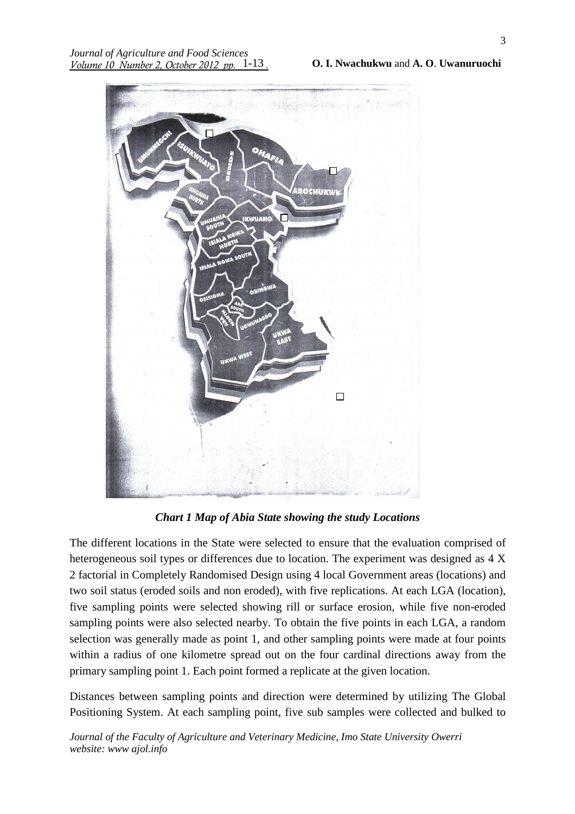

*Chart 1 Map of Abia State showing the study Locations* 

The different locations in the State were selected to ensure that the evaluation comprised of heterogeneous soil types or differences due to location. The experiment was designed as 4 X 2 factorial in Completely Randomised Design using 4 local Government areas (locations) and two soil status (eroded soils and non eroded), with five replications. At each LGA (location), five sampling points were selected showing rill or surface erosion, while five non-eroded sampling points were also selected nearby. To obtain the five points in each LGA, a random selection was generally made as point 1, and other sampling points were made at four points within a radius of one kilometre spread out on the four cardinal directions away from the primary sampling point 1. Each point formed a replicate at the given location.

Distances between sampling points and direction were determined by utilizing The Global Positioning System. At each sampling point, five sub samples were collected and bulked to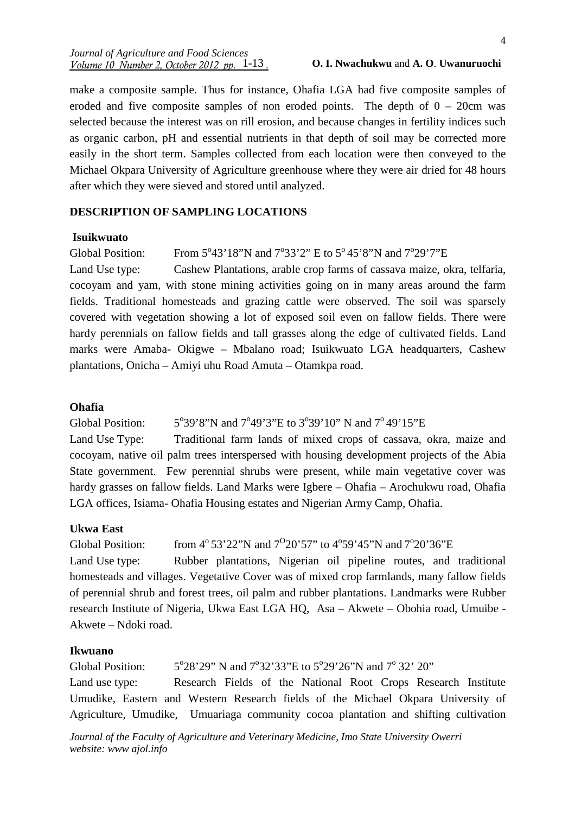#### *Journal of Agriculture and Food Sciences <u>Volume 10 Number 2, October 2012 pp. 1-13.</u>*

#### 1-13 **O. I. Nwachukwu** and **A. O**. **Uwanuruochi**

make a composite sample. Thus for instance, Ohafia LGA had five composite samples of eroded and five composite samples of non eroded points. The depth of  $0 - 20$ cm was selected because the interest was on rill erosion, and because changes in fertility indices such as organic carbon, pH and essential nutrients in that depth of soil may be corrected more easily in the short term. Samples collected from each location were then conveyed to the Michael Okpara University of Agriculture greenhouse where they were air dried for 48 hours after which they were sieved and stored until analyzed.

### **DESCRIPTION OF SAMPLING LOCATIONS**

#### **Isuikwuato**

Global Position: 43'18"N and 7°33'2" E to 5°45'8"N and 7°29'7"E

Land Use type: Cashew Plantations, arable crop farms of cassava maize, okra, telfaria, cocoyam and yam, with stone mining activities going on in many areas around the farm fields. Traditional homesteads and grazing cattle were observed. The soil was sparsely covered with vegetation showing a lot of exposed soil even on fallow fields. There were hardy perennials on fallow fields and tall grasses along the edge of cultivated fields. Land marks were Amaba- Okigwe – Mbalano road; Isuikwuato LGA headquarters, Cashew plantations, Onicha – Amiyi uhu Road Amuta – Otamkpa road.

### **Ohafia**

Global Position: 39'8"N and 7°49'3"E to 3°39'10" N and 7°49'15"E

Land Use Type: Traditional farm lands of mixed crops of cassava, okra, maize and cocoyam, native oil palm trees interspersed with housing development projects of the Abia State government. Few perennial shrubs were present, while main vegetative cover was hardy grasses on fallow fields. Land Marks were Igbere – Ohafia – Arochukwu road, Ohafia LGA offices, Isiama- Ohafia Housing estates and Nigerian Army Camp, Ohafia.

#### **Ukwa East**

Global Position: from  $4^{\circ}53'22''N$  and  $7^{\circ}20'57''$  to  $4^{\circ}59'45''N$  and  $7^{\circ}20'36''E$ Land Use type: Rubber plantations, Nigerian oil pipeline routes, and traditional homesteads and villages. Vegetative Cover was of mixed crop farmlands, many fallow fields of perennial shrub and forest trees, oil palm and rubber plantations. Landmarks were Rubber research Institute of Nigeria, Ukwa East LGA HQ, Asa – Akwete – Obohia road, Umuibe - Akwete – Ndoki road.

### **Ikwuano**

Global Position: 28'29" N and 7°32'33"E to 5°29'26"N and 7°32' 20" Land use type: Research Fields of the National Root Crops Research Institute Umudike, Eastern and Western Research fields of the Michael Okpara University of Agriculture, Umudike, Umuariaga community cocoa plantation and shifting cultivation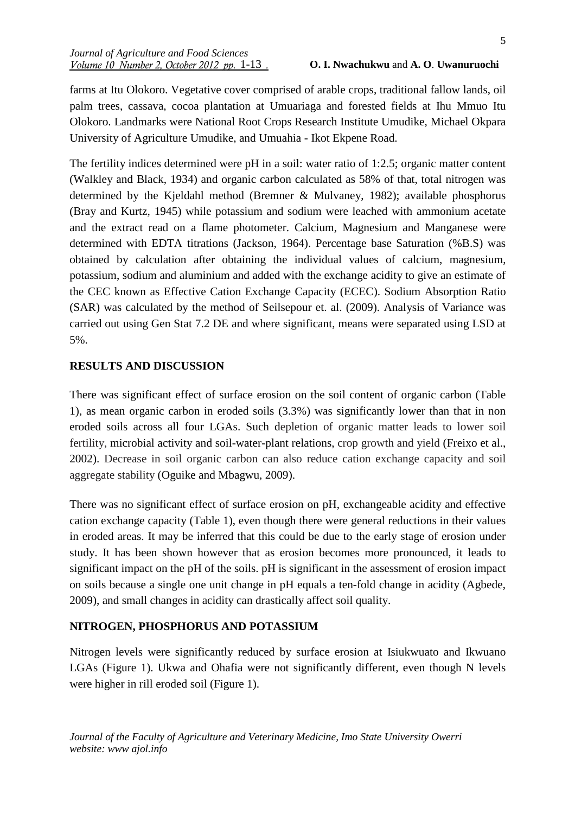farms at Itu Olokoro. Vegetative cover comprised of arable crops, traditional fallow lands, oil palm trees, cassava, cocoa plantation at Umuariaga and forested fields at Ihu Mmuo Itu Olokoro. Landmarks were National Root Crops Research Institute Umudike, Michael Okpara University of Agriculture Umudike, and Umuahia - Ikot Ekpene Road.

The fertility indices determined were pH in a soil: water ratio of 1:2.5; organic matter content (Walkley and Black, 1934) and organic carbon calculated as 58% of that, total nitrogen was determined by the Kjeldahl method (Bremner & Mulvaney, 1982); available phosphorus (Bray and Kurtz, 1945) while potassium and sodium were leached with ammonium acetate and the extract read on a flame photometer. Calcium, Magnesium and Manganese were determined with EDTA titrations (Jackson, 1964). Percentage base Saturation (%B.S) was obtained by calculation after obtaining the individual values of calcium, magnesium, potassium, sodium and aluminium and added with the exchange acidity to give an estimate of the CEC known as Effective Cation Exchange Capacity (ECEC). Sodium Absorption Ratio (SAR) was calculated by the method of Seilsepour et. al. (2009). Analysis of Variance was carried out using Gen Stat 7.2 DE and where significant, means were separated using LSD at 5%.

# **RESULTS AND DISCUSSION**

There was significant effect of surface erosion on the soil content of organic carbon (Table 1), as mean organic carbon in eroded soils (3.3%) was significantly lower than that in non eroded soils across all four LGAs. Such depletion of organic matter leads to lower soil fertility, microbial activity and soil-water-plant relations, crop growth and yield (Freixo et al., 2002). Decrease in soil organic carbon can also reduce cation exchange capacity and soil aggregate stability (Oguike and Mbagwu, 2009).

There was no significant effect of surface erosion on pH, exchangeable acidity and effective cation exchange capacity (Table 1), even though there were general reductions in their values in eroded areas. It may be inferred that this could be due to the early stage of erosion under study. It has been shown however that as erosion becomes more pronounced, it leads to significant impact on the pH of the soils. pH is significant in the assessment of erosion impact on soils because a single one unit change in pH equals a ten-fold change in acidity (Agbede, 2009), and small changes in acidity can drastically affect soil quality.

# **NITROGEN, PHOSPHORUS AND POTASSIUM**

Nitrogen levels were significantly reduced by surface erosion at Isiukwuato and Ikwuano LGAs (Figure 1). Ukwa and Ohafia were not significantly different, even though N levels were higher in rill eroded soil (Figure 1).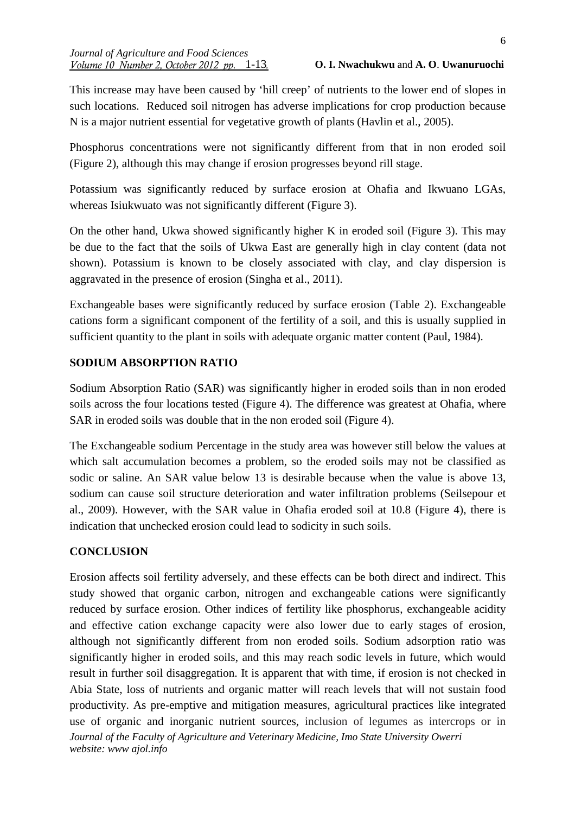This increase may have been caused by 'hill creep' of nutrients to the lower end of slopes in such locations. Reduced soil nitrogen has adverse implications for crop production because N is a major nutrient essential for vegetative growth of plants (Havlin et al., 2005).

Phosphorus concentrations were not significantly different from that in non eroded soil (Figure 2), although this may change if erosion progresses beyond rill stage.

Potassium was significantly reduced by surface erosion at Ohafia and Ikwuano LGAs, whereas Isiukwuato was not significantly different (Figure 3).

On the other hand, Ukwa showed significantly higher K in eroded soil (Figure 3). This may be due to the fact that the soils of Ukwa East are generally high in clay content (data not shown). Potassium is known to be closely associated with clay, and clay dispersion is aggravated in the presence of erosion (Singha et al., 2011).

Exchangeable bases were significantly reduced by surface erosion (Table 2). Exchangeable cations form a significant component of the fertility of a soil, and this is usually supplied in sufficient quantity to the plant in soils with adequate organic matter content (Paul, 1984).

# **SODIUM ABSORPTION RATIO**

Sodium Absorption Ratio (SAR) was significantly higher in eroded soils than in non eroded soils across the four locations tested (Figure 4). The difference was greatest at Ohafia, where SAR in eroded soils was double that in the non eroded soil (Figure 4).

The Exchangeable sodium Percentage in the study area was however still below the values at which salt accumulation becomes a problem, so the eroded soils may not be classified as sodic or saline. An SAR value below 13 is desirable because when the value is above 13, sodium can cause soil structure deterioration and water infiltration problems (Seilsepour et al., 2009). However, with the SAR value in Ohafia eroded soil at 10.8 (Figure 4), there is indication that unchecked erosion could lead to sodicity in such soils.

# **CONCLUSION**

*Journal of the Faculty of Agriculture and Veterinary Medicine, Imo State University Owerri website: www ajol.info*  Erosion affects soil fertility adversely, and these effects can be both direct and indirect. This study showed that organic carbon, nitrogen and exchangeable cations were significantly reduced by surface erosion. Other indices of fertility like phosphorus, exchangeable acidity and effective cation exchange capacity were also lower due to early stages of erosion, although not significantly different from non eroded soils. Sodium adsorption ratio was significantly higher in eroded soils, and this may reach sodic levels in future, which would result in further soil disaggregation. It is apparent that with time, if erosion is not checked in Abia State, loss of nutrients and organic matter will reach levels that will not sustain food productivity. As pre-emptive and mitigation measures, agricultural practices like integrated use of organic and inorganic nutrient sources, inclusion of legumes as intercrops or in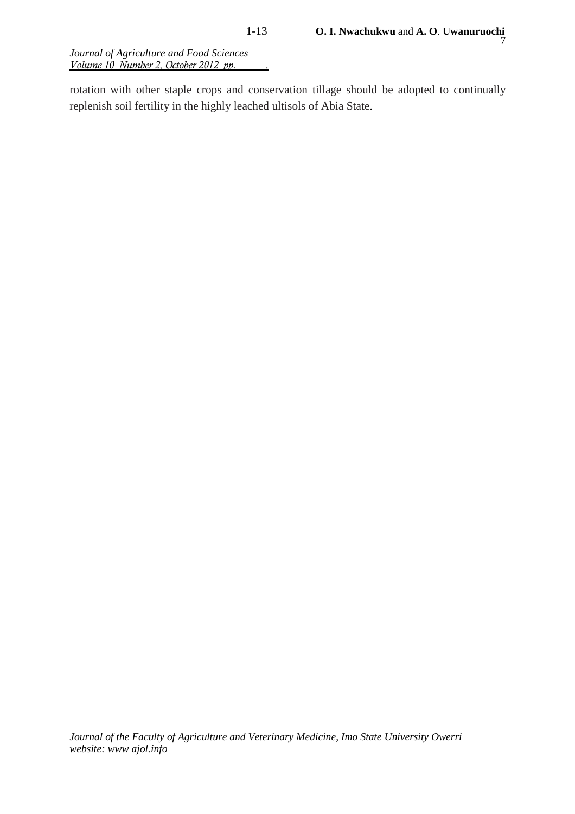*Journal of Agriculture and Food Sciences Volume 10 Number 2, October 2012 pp. .*

rotation with other staple crops and conservation tillage should be adopted to continually replenish soil fertility in the highly leached ultisols of Abia State.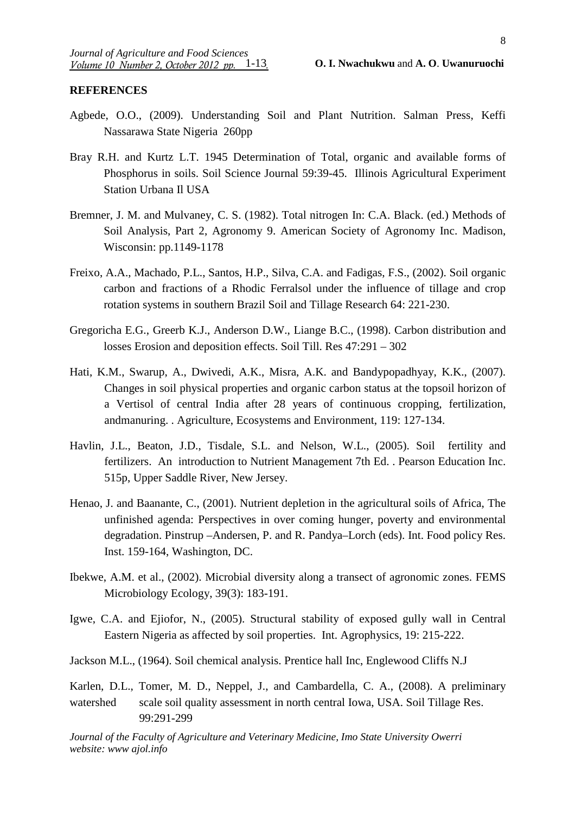# **REFERENCES**

- Agbede, O.O., (2009). Understanding Soil and Plant Nutrition. Salman Press, Keffi Nassarawa State Nigeria 260pp
- Bray R.H. and Kurtz L.T. 1945 Determination of Total, organic and available forms of Phosphorus in soils. Soil Science Journal 59:39-45. Illinois Agricultural Experiment Station Urbana Il USA
- Bremner, J. M. and Mulvaney, C. S. (1982). Total nitrogen In: C.A. Black. (ed.) Methods of Soil Analysis, Part 2, Agronomy 9. American Society of Agronomy Inc. Madison, Wisconsin: pp.1149-1178
- Freixo, A.A., Machado, P.L., Santos, H.P., Silva, C.A. and Fadigas, F.S., (2002). Soil organic carbon and fractions of a Rhodic Ferralsol under the influence of tillage and crop rotation systems in southern Brazil Soil and Tillage Research 64: 221-230.
- Gregoricha E.G., Greerb K.J., Anderson D.W., Liange B.C., (1998). Carbon distribution and losses Erosion and deposition effects. Soil Till. Res 47:291 – 302
- Hati, K.M., Swarup, A., Dwivedi, A.K., Misra, A.K. and Bandypopadhyay, K.K., (2007). Changes in soil physical properties and organic carbon status at the topsoil horizon of a Vertisol of central India after 28 years of continuous cropping, fertilization, andmanuring. . Agriculture, Ecosystems and Environment, 119: 127-134.
- Havlin, J.L., Beaton, J.D., Tisdale, S.L. and Nelson, W.L., (2005). Soil fertility and fertilizers. An introduction to Nutrient Management 7th Ed. . Pearson Education Inc. 515p, Upper Saddle River, New Jersey.
- Henao, J. and Baanante, C., (2001). Nutrient depletion in the agricultural soils of Africa, The unfinished agenda: Perspectives in over coming hunger, poverty and environmental degradation. Pinstrup –Andersen, P. and R. Pandya–Lorch (eds). Int. Food policy Res. Inst. 159-164, Washington, DC.
- Ibekwe, A.M. et al., (2002). Microbial diversity along a transect of agronomic zones. FEMS Microbiology Ecology, 39(3): 183-191.
- Igwe, C.A. and Ejiofor, N., (2005). Structural stability of exposed gully wall in Central Eastern Nigeria as affected by soil properties. Int. Agrophysics, 19: 215-222.
- Jackson M.L., (1964). Soil chemical analysis. Prentice hall Inc, Englewood Cliffs N.J
- Karlen, D.L., Tomer, M. D., Neppel, J., and Cambardella, C. A., (2008). A preliminary watershed scale soil quality assessment in north central Iowa, USA. Soil Tillage Res. 99:291-299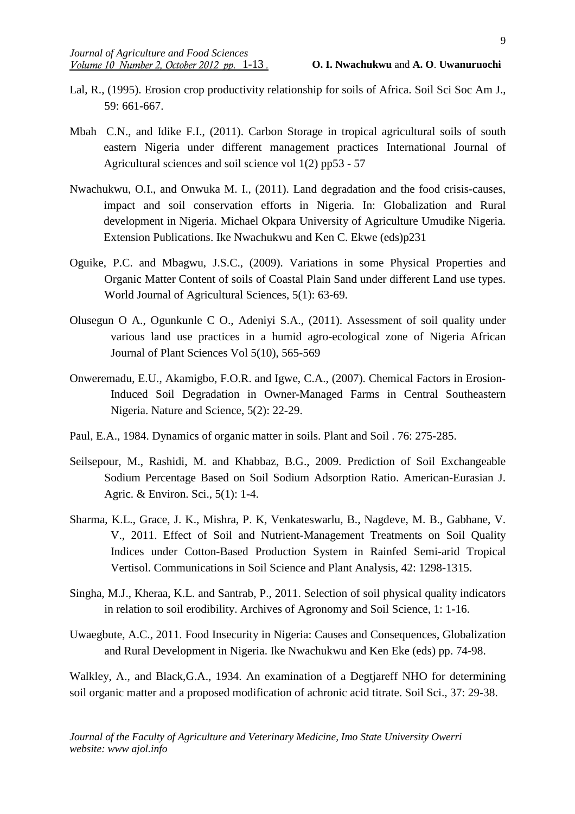- Lal, R., (1995). Erosion crop productivity relationship for soils of Africa. Soil Sci Soc Am J., 59: 661-667.
- Mbah C.N., and Idike F.I., (2011). Carbon Storage in tropical agricultural soils of south eastern Nigeria under different management practices International Journal of Agricultural sciences and soil science vol 1(2) pp53 - 57
- Nwachukwu, O.I., and Onwuka M. I., (2011). Land degradation and the food crisis-causes, impact and soil conservation efforts in Nigeria. In: Globalization and Rural development in Nigeria. Michael Okpara University of Agriculture Umudike Nigeria. Extension Publications. Ike Nwachukwu and Ken C. Ekwe (eds)p231
- Oguike, P.C. and Mbagwu, J.S.C., (2009). Variations in some Physical Properties and Organic Matter Content of soils of Coastal Plain Sand under different Land use types. World Journal of Agricultural Sciences, 5(1): 63-69.
- Olusegun O A., Ogunkunle C O., Adeniyi S.A., (2011). Assessment of soil quality under various land use practices in a humid agro-ecological zone of Nigeria African Journal of Plant Sciences Vol 5(10), 565-569
- Onweremadu, E.U., Akamigbo, F.O.R. and Igwe, C.A., (2007). Chemical Factors in Erosion-Induced Soil Degradation in Owner-Managed Farms in Central Southeastern Nigeria. Nature and Science, 5(2): 22-29.
- Paul, E.A., 1984. Dynamics of organic matter in soils. Plant and Soil . 76: 275-285.
- Seilsepour, M., Rashidi, M. and Khabbaz, B.G., 2009. Prediction of Soil Exchangeable Sodium Percentage Based on Soil Sodium Adsorption Ratio. American-Eurasian J. Agric. & Environ. Sci., 5(1): 1-4.
- Sharma, K.L., Grace, J. K., Mishra, P. K, Venkateswarlu, B., Nagdeve, M. B., Gabhane, V. V., 2011. Effect of Soil and Nutrient-Management Treatments on Soil Quality Indices under Cotton-Based Production System in Rainfed Semi-arid Tropical Vertisol. Communications in Soil Science and Plant Analysis, 42: 1298-1315.
- Singha, M.J., Kheraa, K.L. and Santrab, P., 2011. Selection of soil physical quality indicators in relation to soil erodibility. Archives of Agronomy and Soil Science, 1: 1-16.

Uwaegbute, A.C., 2011. Food Insecurity in Nigeria: Causes and Consequences, Globalization and Rural Development in Nigeria. Ike Nwachukwu and Ken Eke (eds) pp. 74-98.

Walkley, A., and Black,G.A., 1934. An examination of a Degtjareff NHO for determining soil organic matter and a proposed modification of achronic acid titrate. Soil Sci., 37: 29-38.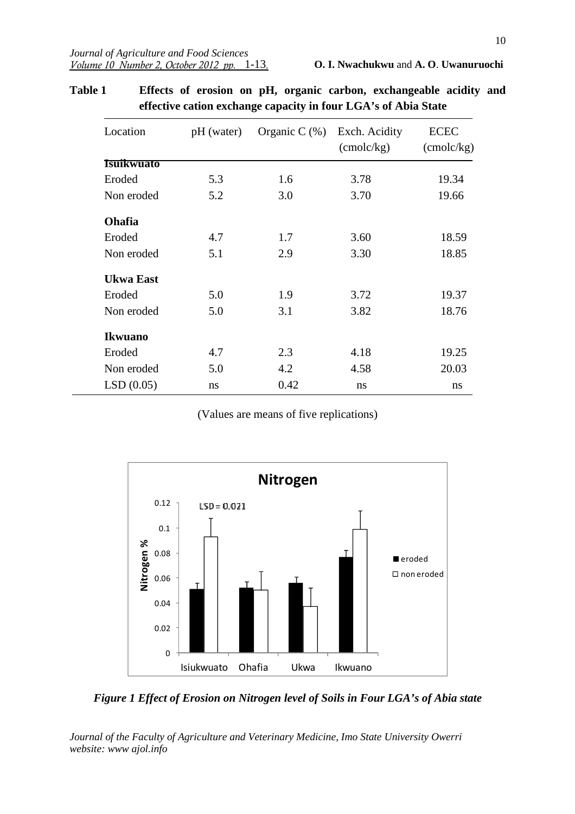| Location          | pH (water) | Organic C $(\%)$ | Exch. Acidity<br>$($ cmolc $/kg)$ | <b>ECEC</b><br>$($ cmolc $/kg)$ |
|-------------------|------------|------------------|-----------------------------------|---------------------------------|
| <b>Isuikwuato</b> |            |                  |                                   |                                 |
| Eroded            | 5.3        | 1.6              | 3.78                              | 19.34                           |
| Non eroded        | 5.2        | 3.0              | 3.70                              | 19.66                           |
| <b>Ohafia</b>     |            |                  |                                   |                                 |
| Eroded            | 4.7        | 1.7              | 3.60                              | 18.59                           |
| Non eroded        | 5.1        | 2.9              | 3.30                              | 18.85                           |
| <b>Ukwa East</b>  |            |                  |                                   |                                 |
| Eroded            | 5.0        | 1.9              | 3.72                              | 19.37                           |
| Non eroded        | 5.0        | 3.1              | 3.82                              | 18.76                           |
| <b>Ikwuano</b>    |            |                  |                                   |                                 |
| Eroded            | 4.7        | 2.3              | 4.18                              | 19.25                           |
| Non eroded        | 5.0        | 4.2              | 4.58                              | 20.03                           |
| LSD(0.05)         | ns         | 0.42             | ns                                | ns                              |

**Table 1 Effects of erosion on pH, organic carbon, exchangeable acidity and effective cation exchange capacity in four LGA's of Abia State**

(Values are means of five replications)



*Figure 1 Effect of Erosion on Nitrogen level of Soils in Four LGA's of Abia state*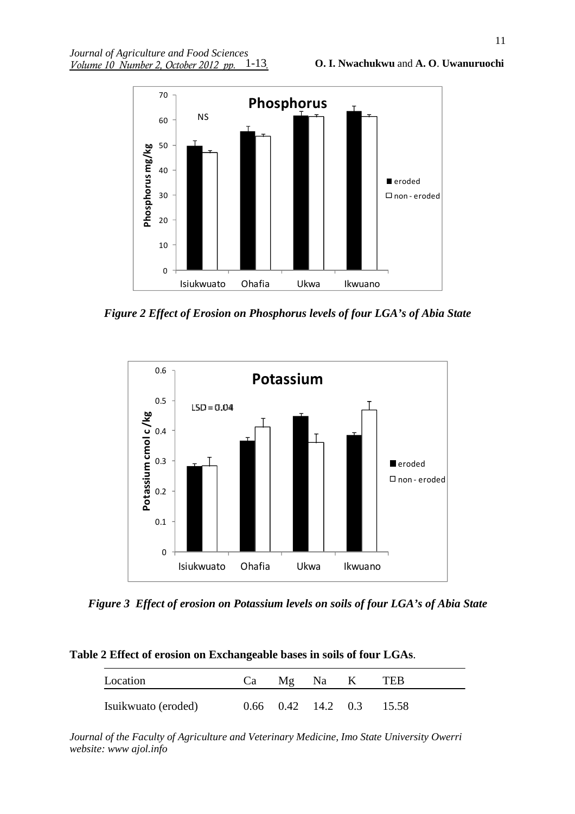

*Figure 2 Effect of Erosion on Phosphorus levels of four LGA's of Abia State* 



*Figure 3 Effect of erosion on Potassium levels on soils of four LGA's of Abia State*

| Location            | Ca | Mg Na K | TEB                                |
|---------------------|----|---------|------------------------------------|
| Isuikwuato (eroded) |    |         | $0.66$ $0.42$ $14.2$ $0.3$ $15.58$ |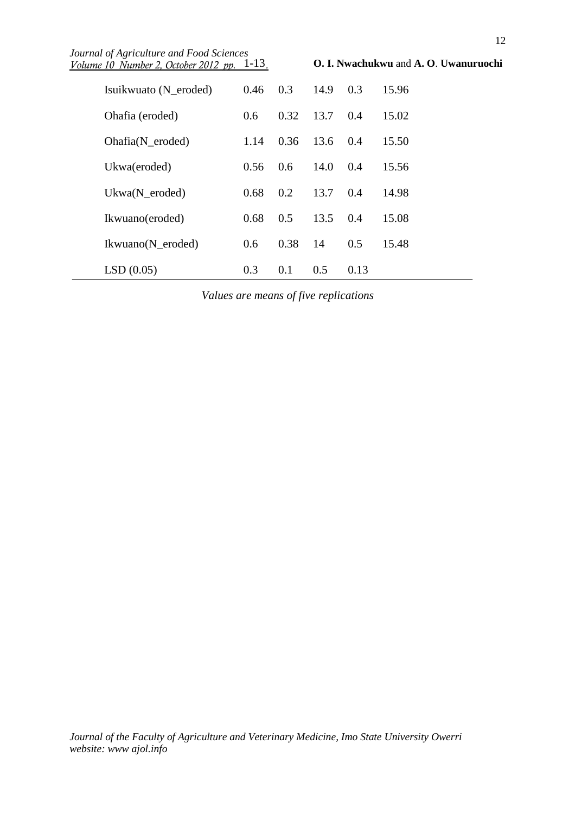| Journal of Agriculture and Food Sciences<br>Volume 10 Number 2, October 2012 pp. 1-13. |      |      |      |      | O. I. Nwachukwu and A. O. Uwanuruochi |
|----------------------------------------------------------------------------------------|------|------|------|------|---------------------------------------|
| Isuikwuato (N eroded)                                                                  | 0.46 | 0.3  | 14.9 | 0.3  | 15.96                                 |
| Ohafia (eroded)                                                                        | 0.6  | 0.32 | 13.7 | 0.4  | 15.02                                 |
| $Ohafia(N\_eroded)$                                                                    | 1.14 | 0.36 | 13.6 | 0.4  | 15.50                                 |
| Ukwa(eroded)                                                                           | 0.56 | 0.6  | 14.0 | 0.4  | 15.56                                 |
| $Ukwa(N_{\text{eroded}})$                                                              | 0.68 | 0.2  | 13.7 | 0.4  | 14.98                                 |
| Ikwuano(eroded)                                                                        | 0.68 | 0.5  | 13.5 | 0.4  | 15.08                                 |
| Ikwuano(N_eroded)                                                                      | 0.6  | 0.38 | 14   | 0.5  | 15.48                                 |
| LSD(0.05)                                                                              | 0.3  | 0.1  | 0.5  | 0.13 |                                       |

*Values are means of five replications*